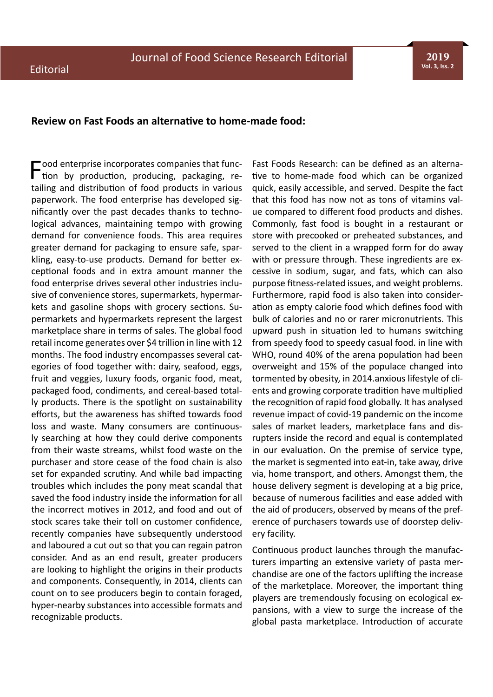**2019 Vol. 3, Iss. 2**

## **Review on Fast Foods an alternative to home-made food:**

Food enterprise incorporates companies that func-<br>tion by production, producing, packaging, retailing and distribution of food products in various paperwork. The food enterprise has developed significantly over the past decades thanks to technological advances, maintaining tempo with growing demand for convenience foods. This area requires greater demand for packaging to ensure safe, sparkling, easy-to-use products. Demand for better exceptional foods and in extra amount manner the food enterprise drives several other industries inclusive of convenience stores, supermarkets, hypermarkets and gasoline shops with grocery sections. Supermarkets and hypermarkets represent the largest marketplace share in terms of sales. The global food retail income generates over \$4 trillion in line with 12 months. The food industry encompasses several categories of food together with: dairy, seafood, eggs, fruit and veggies, luxury foods, organic food, meat, packaged food, condiments, and cereal-based totally products. There is the spotlight on sustainability efforts, but the awareness has shifted towards food loss and waste. Many consumers are continuously searching at how they could derive components from their waste streams, whilst food waste on the purchaser and store cease of the food chain is also set for expanded scrutiny. And while bad impacting troubles which includes the pony meat scandal that saved the food industry inside the information for all the incorrect motives in 2012, and food and out of stock scares take their toll on customer confidence, recently companies have subsequently understood and laboured a cut out so that you can regain patron consider. And as an end result, greater producers are looking to highlight the origins in their products and components. Consequently, in 2014, clients can count on to see producers begin to contain foraged, hyper-nearby substances into accessible formats and recognizable products.

Fast Foods Research: can be defined as an alternative to home-made food which can be organized quick, easily accessible, and served. Despite the fact that this food has now not as tons of vitamins value compared to different food products and dishes. Commonly, fast food is bought in a restaurant or store with precooked or preheated substances, and served to the client in a wrapped form for do away with or pressure through. These ingredients are excessive in sodium, sugar, and fats, which can also purpose fitness-related issues, and weight problems. Furthermore, rapid food is also taken into consideration as empty calorie food which defines food with bulk of calories and no or rarer micronutrients. This upward push in situation led to humans switching from speedy food to speedy casual food. in line with WHO, round 40% of the arena population had been overweight and 15% of the populace changed into tormented by obesity, in 2014.anxious lifestyle of clients and growing corporate tradition have multiplied the recognition of rapid food globally. It has analysed revenue impact of covid-19 pandemic on the income sales of market leaders, marketplace fans and disrupters inside the record and equal is contemplated in our evaluation. On the premise of service type, the market is segmented into eat-in, take away, drive via, home transport, and others. Amongst them, the house delivery segment is developing at a big price, because of numerous facilities and ease added with the aid of producers, observed by means of the preference of purchasers towards use of doorstep delivery facility.

Continuous product launches through the manufacturers imparting an extensive variety of pasta merchandise are one of the factors uplifting the increase of the marketplace. Moreover, the important thing players are tremendously focusing on ecological expansions, with a view to surge the increase of the global pasta marketplace. Introduction of accurate